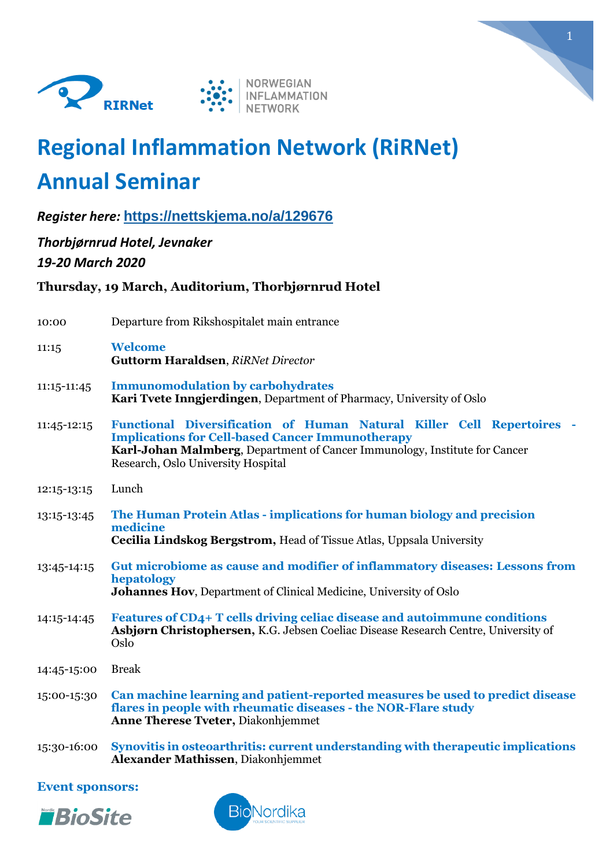



# **Regional Inflammation Network (RiRNet) Annual Seminar**

*Register here:* **<https://nettskjema.no/a/129676>**

*Thorbjørnrud Hotel, Jevnaker*

*19-20 March 2020*

# **Thursday, 19 March, Auditorium, Thorbjørnrud Hotel**

| 10:00       | Departure from Rikshospitalet main entrance                                                                                                                                                                                                          |
|-------------|------------------------------------------------------------------------------------------------------------------------------------------------------------------------------------------------------------------------------------------------------|
| 11:15       | <b>Welcome</b><br><b>Guttorm Haraldsen, RiRNet Director</b>                                                                                                                                                                                          |
| 11:15-11:45 | <b>Immunomodulation by carbohydrates</b><br>Kari Tvete Inngjerdingen, Department of Pharmacy, University of Oslo                                                                                                                                     |
| 11:45-12:15 | Functional Diversification of Human Natural Killer Cell Repertoires -<br><b>Implications for Cell-based Cancer Immunotherapy</b><br>Karl-Johan Malmberg, Department of Cancer Immunology, Institute for Cancer<br>Research, Oslo University Hospital |
| 12:15-13:15 | Lunch                                                                                                                                                                                                                                                |
| 13:15-13:45 | The Human Protein Atlas - implications for human biology and precision<br>medicine<br><b>Cecilia Lindskog Bergstrom, Head of Tissue Atlas, Uppsala University</b>                                                                                    |
| 13:45-14:15 | Gut microbiome as cause and modifier of inflammatory diseases: Lessons from<br>hepatology<br><b>Johannes Hov, Department of Clinical Medicine, University of Oslo</b>                                                                                |
| 14:15-14:45 | Features of CD4+ T cells driving celiac disease and autoimmune conditions<br>Asbjørn Christophersen, K.G. Jebsen Coeliac Disease Research Centre, University of<br>Oslo                                                                              |
| 14:45-15:00 | <b>Break</b>                                                                                                                                                                                                                                         |
| 15:00-15:30 | Can machine learning and patient-reported measures be used to predict disease<br>flares in people with rheumatic diseases - the NOR-Flare study<br><b>Anne Therese Tveter, Diakonhjemmet</b>                                                         |
|             | 15:00 16:00 Sympaths in octoographetics grupout und quotending with thoughout insuficetions                                                                                                                                                          |

15:30-16:00 **Synovitis in osteoarthritis: current understanding with therapeutic implications Alexander Mathissen**, Diakonhjemmet

### **Event sponsors:**